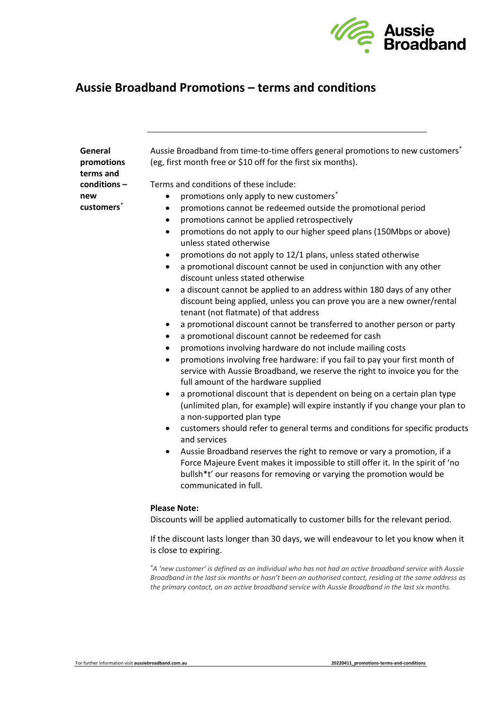

## **Aussie Broadband Promotions – terms and conditions**

| General      |
|--------------|
| promotions   |
| terms and    |
| conditions – |
| new          |
| customers    |

Aussie Broadband from time-to-time offers general promotions to new customers*\** (eg, first month free or \$10 off for the first six months).

Terms and conditions of these include:

- promotions only apply to new customers*\**
- promotions cannot be redeemed outside the promotional period
- promotions cannot be applied retrospectively
- promotions do not apply to our higher speed plans (150Mbps or above) unless stated otherwise
- promotions do not apply to 12/1 plans, unless stated otherwise
- a promotional discount cannot be used in conjunction with any other discount unless stated otherwise
- a discount cannot be applied to an address within 180 days of any other discount being applied, unless you can prove you are a new owner/rental tenant (not flatmate) of that address
- a promotional discount cannot be transferred to another person or party
- a promotional discount cannot be redeemed for cash
- promotions involving hardware do not include mailing costs
- promotions involving free hardware: if you fail to pay your first month of service with Aussie Broadband, we reserve the right to invoice you for the full amount of the hardware supplied
- a promotional discount that is dependent on being on a certain plan type (unlimited plan, for example) will expire instantly if you change your plan to a non-supported plan type
- customers should refer to general terms and conditions for specific products and services
- Aussie Broadband reserves the right to remove or vary a promotion, if a Force Majeure Event makes it impossible to still offer it. In the spirit of 'no bullsh\*t' our reasons for removing or varying the promotion would be communicated in full.

## **Please Note:**

Discounts will be applied automatically to customer bills for the relevant period.

If the discount lasts longer than 30 days, we will endeavour to let you know when it is close to expiring.

*\*A 'new customer' is defined as an individual who has not had an active broadband service with Aussie Broadband in the last six months or hasn't been an authorised contact, residing at the same address as the primary contact, on an active broadband service with Aussie Broadband in the last six months.*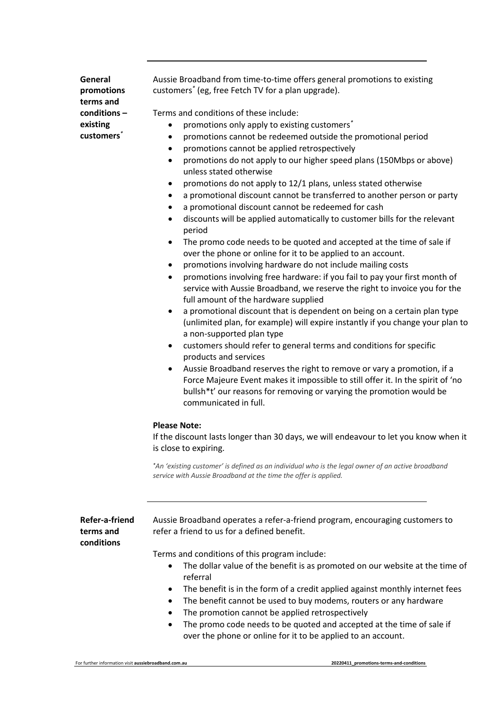**General promotions terms and conditions – existing customers***\**

Aussie Broadband from time-to-time offers general promotions to existing customers*\** (eg, free Fetch TV for a plan upgrade).

Terms and conditions of these include:

- promotions only apply to existing customers*\**
- promotions cannot be redeemed outside the promotional period
- promotions cannot be applied retrospectively
- promotions do not apply to our higher speed plans (150Mbps or above) unless stated otherwise
- promotions do not apply to 12/1 plans, unless stated otherwise
- a promotional discount cannot be transferred to another person or party
- a promotional discount cannot be redeemed for cash
- discounts will be applied automatically to customer bills for the relevant period
- The promo code needs to be quoted and accepted at the time of sale if over the phone or online for it to be applied to an account.
- promotions involving hardware do not include mailing costs
- promotions involving free hardware: if you fail to pay your first month of service with Aussie Broadband, we reserve the right to invoice you for the full amount of the hardware supplied
- a promotional discount that is dependent on being on a certain plan type (unlimited plan, for example) will expire instantly if you change your plan to a non-supported plan type
- customers should refer to general terms and conditions for specific products and services
- Aussie Broadband reserves the right to remove or vary a promotion, if a Force Majeure Event makes it impossible to still offer it. In the spirit of 'no bullsh\*t' our reasons for removing or varying the promotion would be communicated in full.

## **Please Note:**

If the discount lasts longer than 30 days, we will endeavour to let you know when it is close to expiring.

*\*An 'existing customer' is defined as an individual who is the legal owner of an active broadband service with Aussie Broadband at the time the offer is applied.*

**Refer-a-friend terms and conditions**

Aussie Broadband operates a refer-a-friend program, encouraging customers to refer a friend to us for a defined benefit.

Terms and conditions of this program include:

- The dollar value of the benefit is as promoted on our website at the time of referral
- The benefit is in the form of a credit applied against monthly internet fees
- The benefit cannot be used to buy modems, routers or any hardware
- The promotion cannot be applied retrospectively
- The promo code needs to be quoted and accepted at the time of sale if over the phone or online for it to be applied to an account.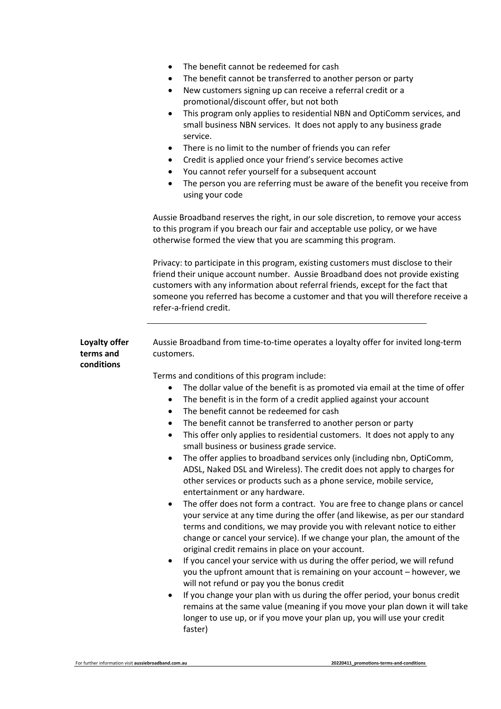|  | The benefit cannot be redeemed for cash |  |  |  |
|--|-----------------------------------------|--|--|--|
|--|-----------------------------------------|--|--|--|

- The benefit cannot be transferred to another person or party
- New customers signing up can receive a referral credit or a promotional/discount offer, but not both
- This program only applies to residential NBN and OptiComm services, and small business NBN services. It does not apply to any business grade service.
- There is no limit to the number of friends you can refer
- Credit is applied once your friend's service becomes active
- You cannot refer yourself for a subsequent account
- The person you are referring must be aware of the benefit you receive from using your code

Aussie Broadband reserves the right, in our sole discretion, to remove your access to this program if you breach our fair and acceptable use policy, or we have otherwise formed the view that you are scamming this program.

Privacy: to participate in this program, existing customers must disclose to their friend their unique account number. Aussie Broadband does not provide existing customers with any information about referral friends, except for the fact that someone you referred has become a customer and that you will therefore receive a refer-a-friend credit.

| Loyalty offer<br>terms and<br>conditions | Aussie Broadband from time-to-time operates a loyalty offer for invited long-term<br>customers.                                                                                                                                                                                                                                                                                                                                                                                                                                                                                                                                                                                                                                                                                                                                                                                                                                                                                                                                                                                                                                                                                                                                                                                                                                                                                                                                                                                                                                                                                                                                          |  |  |  |
|------------------------------------------|------------------------------------------------------------------------------------------------------------------------------------------------------------------------------------------------------------------------------------------------------------------------------------------------------------------------------------------------------------------------------------------------------------------------------------------------------------------------------------------------------------------------------------------------------------------------------------------------------------------------------------------------------------------------------------------------------------------------------------------------------------------------------------------------------------------------------------------------------------------------------------------------------------------------------------------------------------------------------------------------------------------------------------------------------------------------------------------------------------------------------------------------------------------------------------------------------------------------------------------------------------------------------------------------------------------------------------------------------------------------------------------------------------------------------------------------------------------------------------------------------------------------------------------------------------------------------------------------------------------------------------------|--|--|--|
|                                          | Terms and conditions of this program include:<br>The dollar value of the benefit is as promoted via email at the time of offer<br>The benefit is in the form of a credit applied against your account<br>$\bullet$<br>The benefit cannot be redeemed for cash<br>$\bullet$<br>The benefit cannot be transferred to another person or party<br>$\bullet$<br>This offer only applies to residential customers. It does not apply to any<br>$\bullet$<br>small business or business grade service.<br>The offer applies to broadband services only (including nbn, OptiComm,<br>$\bullet$<br>ADSL, Naked DSL and Wireless). The credit does not apply to charges for<br>other services or products such as a phone service, mobile service,<br>entertainment or any hardware.<br>The offer does not form a contract. You are free to change plans or cancel<br>$\bullet$<br>your service at any time during the offer (and likewise, as per our standard<br>terms and conditions, we may provide you with relevant notice to either<br>change or cancel your service). If we change your plan, the amount of the<br>original credit remains in place on your account.<br>If you cancel your service with us during the offer period, we will refund<br>you the upfront amount that is remaining on your account - however, we<br>will not refund or pay you the bonus credit<br>If you change your plan with us during the offer period, your bonus credit<br>$\bullet$<br>remains at the same value (meaning if you move your plan down it will take<br>longer to use up, or if you move your plan up, you will use your credit<br>faster) |  |  |  |